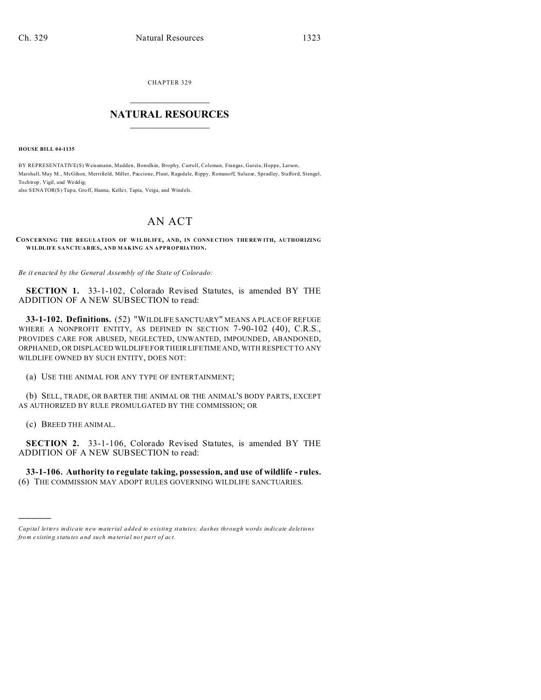CHAPTER 329  $\overline{\phantom{a}}$  , where  $\overline{\phantom{a}}$ 

## **NATURAL RESOURCES**  $\frac{1}{\sqrt{2}}$  ,  $\frac{1}{\sqrt{2}}$  ,  $\frac{1}{\sqrt{2}}$  ,  $\frac{1}{\sqrt{2}}$  ,  $\frac{1}{\sqrt{2}}$  ,  $\frac{1}{\sqrt{2}}$

**HOUSE BILL 04-1135**

BY REPRESENTATIVE(S) Weissmann, Madden, Borodkin, Brophy, Carroll, Coleman, Frangas, Garcia, Hoppe, Larson, Marshall, May M., McGihon, Merrifield, Miller, Paccione, Plant, Ragsdale, Rippy, Romanoff, Salazar, Spradley, Stafford, Stengel, To chtrop, Vigil, and Weddig;

also SENATOR(S) Tupa, Groff, Hanna, Keller, Tapia, Veiga, and Windels.

## AN ACT

## **CONCERNING THE REGULATION OF WILDL IFE, AND, IN CONNE CTION THE REW ITH, AUTHORIZING WILDLIFE SANCTUARIES, AND MAKING AN APPROPRIATION.**

*Be it enacted by the General Assembly of the State of Colorado:*

**SECTION 1.** 33-1-102, Colorado Revised Statutes, is amended BY THE ADDITION OF A NEW SUBSECTION to read:

**33-1-102. Definitions.** (52) "WILDLIFE SANCTUARY" MEANS A PLACE OF REFUGE WHERE A NONPROFIT ENTITY, AS DEFINED IN SECTION 7-90-102 (40), C.R.S., PROVIDES CARE FOR ABUSED, NEGLECTED, UNWANTED, IMPOUNDED, ABANDONED, ORPHANED, OR DISPLACED WILDLIFE FOR THEIR LIFETIME AND, WITH RESPECT TO ANY WILDLIFE OWNED BY SUCH ENTITY, DOES NOT:

(a) USE THE ANIMAL FOR ANY TYPE OF ENTERTAINMENT;

(b) SELL, TRADE, OR BARTER THE ANIMAL OR THE ANIMAL'S BODY PARTS, EXCEPT AS AUTHORIZED BY RULE PROMULGATED BY THE COMMISSION; OR

(c) BREED THE ANIMAL.

)))))

**SECTION 2.** 33-1-106, Colorado Revised Statutes, is amended BY THE ADDITION OF A NEW SUBSECTION to read:

**33-1-106. Authority to regulate taking, possession, and use of wildlife - rules.** (6) THE COMMISSION MAY ADOPT RULES GOVERNING WILDLIFE SANCTUARIES.

*Capital letters indicate new material added to existing statutes; dashes through words indicate deletions from e xistin g statu tes a nd such ma teria l no t pa rt of ac t.*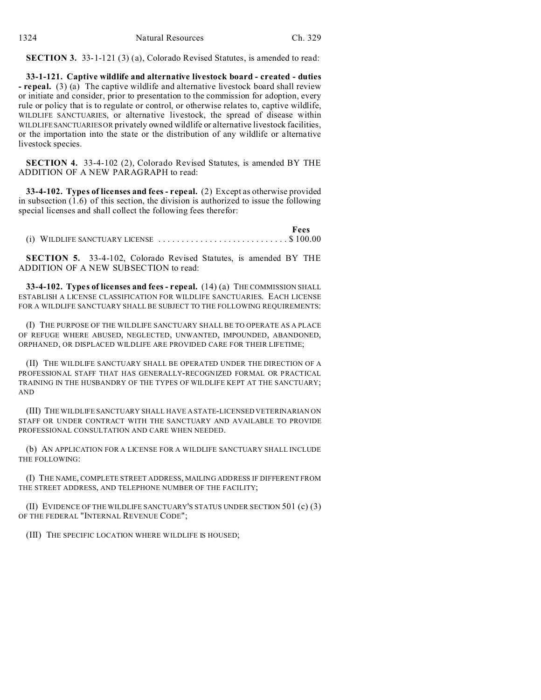| 1324 | Natural Resources | Ch. 329 |
|------|-------------------|---------|
|      |                   |         |

**SECTION 3.** 33-1-121 (3) (a), Colorado Revised Statutes, is amended to read:

**33-1-121. Captive wildlife and alternative livestock board - created - duties - repeal.** (3) (a) The captive wildlife and alternative livestock board shall review or initiate and consider, prior to presentation to the commission for adoption, every rule or policy that is to regulate or control, or otherwise relates to, captive wildlife, WILDLIFE SANCTUARIES, or alternative livestock, the spread of disease within WILDLIFESANCTUARIES OR privately owned wildlife or alternative livestock facilities, or the importation into the state or the distribution of any wildlife or alternative livestock species.

**SECTION 4.** 33-4-102 (2), Colorado Revised Statutes, is amended BY THE ADDITION OF A NEW PARAGRAPH to read:

**33-4-102. Types of licenses and fees - repeal.** (2) Except as otherwise provided in subsection (1.6) of this section, the division is authorized to issue the following special licenses and shall collect the following fees therefor:

 **Fees** (i) WILDLIFE SANCTUARY LICENSE ................. ........... \$ 100.00

**SECTION 5.** 33-4-102, Colorado Revised Statutes, is amended BY THE ADDITION OF A NEW SUBSECTION to read:

**33-4-102. Types of licenses and fees - repeal.** (14) (a) THE COMMISSION SHALL ESTABLISH A LICENSE CLASSIFICATION FOR WILDLIFE SANCTUARIES. EACH LICENSE FOR A WILDLIFE SANCTUARY SHALL BE SUBJECT TO THE FOLLOWING REQUIREMENTS:

(I) THE PURPOSE OF THE WILDLIFE SANCTUARY SHALL BE TO OPERATE AS A PLACE OF REFUGE WHERE ABUSED, NEGLECTED, UNWANTED, IMPOUNDED, ABANDONED, ORPHANED, OR DISPLACED WILDLIFE ARE PROVIDED CARE FOR THEIR LIFETIME;

(II) THE WILDLIFE SANCTUARY SHALL BE OPERATED UNDER THE DIRECTION OF A PROFESSIONAL STAFF THAT HAS GENERALLY-RECOGNIZED FORMAL OR PRACTICAL TRAINING IN THE HUSBANDRY OF THE TYPES OF WILDLIFE KEPT AT THE SANCTUARY; AND

(III) THE WILDLIFE SANCTUARY SHALL HAVE A STATE-LICENSED VETERINARIAN ON STAFF OR UNDER CONTRACT WITH THE SANCTUARY AND AVAILABLE TO PROVIDE PROFESSIONAL CONSULTATION AND CARE WHEN NEEDED.

(b) AN APPLICATION FOR A LICENSE FOR A WILDLIFE SANCTUARY SHALL INCLUDE THE FOLLOWING:

(I) THE NAME, COMPLETE STREET ADDRESS, MAILING ADDRESS IF DIFFERENT FROM THE STREET ADDRESS, AND TELEPHONE NUMBER OF THE FACILITY;

(II) EVIDENCE OF THE WILDLIFE SANCTUARY'S STATUS UNDER SECTION 501 (c) (3) OF THE FEDERAL "INTERNAL REVENUE CODE";

(III) THE SPECIFIC LOCATION WHERE WILDLIFE IS HOUSED;